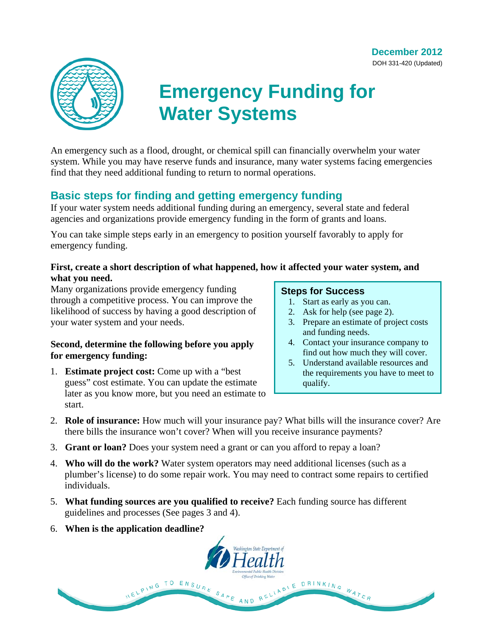**December 2012**  DOH 331-420 (Updated)



# **Emergency Funding for Water Systems**

An emergency such as a flood, drought, or chemical spill can financially overwhelm your water system. While you may have reserve funds and insurance, many water systems facing emergencies find that they need additional funding to return to normal operations.

# **Basic steps for finding and getting emergency funding**

If your water system needs additional funding during an emergency, several state and federal agencies and organizations provide emergency funding in the form of grants and loans.

You can take simple steps early in an emergency to position yourself favorably to apply for emergency funding.

## **First, create a short description of what happened, how it affected your water system, and what you need.**

Many organizations provide emergency funding through a competitive process. You can improve the likelihood of success by having a good description of your water system and your needs.

## **Second, determine the following before you apply for emergency funding:**

1. **Estimate project cost:** Come up with a "best guess" cost estimate. You can update the estimate later as you know more, but you need an estimate to start.

## **Steps for Success**

- 1. Start as early as you can.
- 2. Ask for help (see page 2).
- 3. Prepare an estimate of project costs and funding needs.
- 4. Contact your insurance company to find out how much they will cover.
- 5. Understand available resources and the requirements you have to meet to qualify.
- 2. **Role of insurance:** How much will your insurance pay? What bills will the insurance cover? Are there bills the insurance won't cover? When will you receive insurance payments?
- 3. **Grant or loan?** Does your system need a grant or can you afford to repay a loan?
- 4. **Who will do the work?** Water system operators may need additional licenses (such as a plumber's license) to do some repair work. You may need to contract some repairs to certified individuals.
- 5. **What funding sources are you qualified to receive?** Each funding source has different guidelines and processes (See pages 3 and 4).
- 6. **When is the application deadline?**

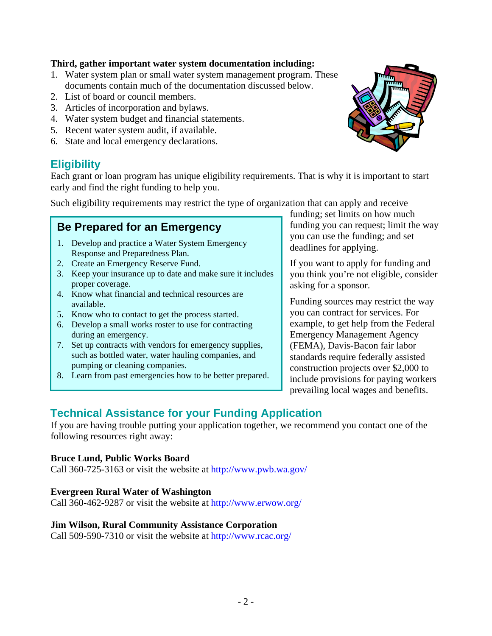### **Third, gather important water system documentation including:**

- 1. Water system plan or small water system management program. These documents contain much of the documentation discussed below.
- 2. List of board or council members.
- 3. Articles of incorporation and bylaws.
- 4. Water system budget and financial statements.
- 5. Recent water system audit, if available.
- 6. State and local emergency declarations.

# **Eligibility**

Each grant or loan program has unique eligibility requirements. That is why it is important to start early and find the right funding to help you.

Such eligibility requirements may restrict the type of organization that can apply and receive

# **Be Prepared for an Emergency**

- 1. Develop and practice a Water System Emergency Response and Preparedness Plan.
- 2. Create an Emergency Reserve Fund.
- 3. Keep your insurance up to date and make sure it includes proper coverage.
- 4. Know what financial and technical resources are available.
- 5. Know who to contact to get the process started.
- 6. Develop a small works roster to use for contracting during an emergency.
- 7. Set up contracts with vendors for emergency supplies, such as bottled water, water hauling companies, and pumping or cleaning companies.
- 8. Learn from past emergencies how to be better prepared.

funding; set limits on how much funding you can request; limit the way you can use the funding; and set deadlines for applying.

If you want to apply for funding and you think you're not eligible, consider asking for a sponsor.

Funding sources may restrict the way you can contract for services. For example, to get help from the Federal Emergency Management Agency (FEMA), Davis-Bacon fair labor standards require federally assisted construction projects over \$2,000 to include provisions for paying workers prevailing local wages and benefits.

# **Technical Assistance for your Funding Application**

If you are having trouble putting your application together, we recommend you contact one of the following resources right away:

#### **Bruce Lund, Public Works Board**

Call 360-725-3163 or visit the website at http://www.pwb.wa.gov/

#### **Evergreen Rural Water of Washington**

Call 360-462-9287 or visit the website at http://www.erwow.org/

#### **Jim Wilson, Rural Community Assistance Corporation**

Call 509-590-7310 or visit the website at http://www.rcac.org/

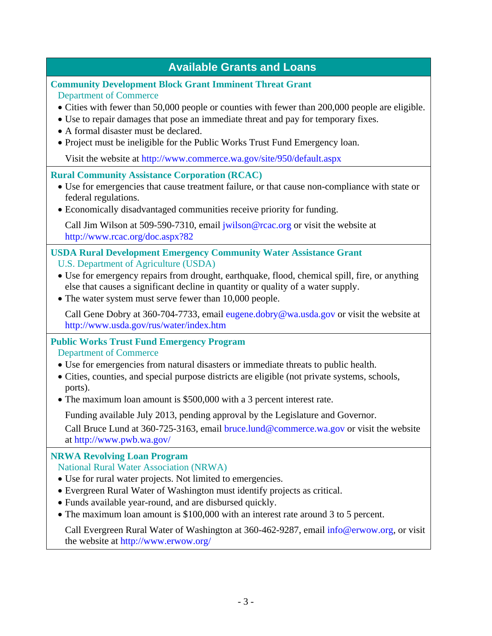| <b>Available Grants and Loans</b>                                                                                                                                                                                                                                                                                                                                                                                 |
|-------------------------------------------------------------------------------------------------------------------------------------------------------------------------------------------------------------------------------------------------------------------------------------------------------------------------------------------------------------------------------------------------------------------|
| <b>Community Development Block Grant Imminent Threat Grant</b><br><b>Department of Commerce</b><br>• Cities with fewer than 50,000 people or counties with fewer than 200,000 people are eligible.<br>• Use to repair damages that pose an immediate threat and pay for temporary fixes.<br>• A formal disaster must be declared.<br>• Project must be ineligible for the Public Works Trust Fund Emergency loan. |
| Visit the website at http://www.commerce.wa.gov/site/950/default.aspx                                                                                                                                                                                                                                                                                                                                             |
| <b>Rural Community Assistance Corporation (RCAC)</b><br>• Use for emergencies that cause treatment failure, or that cause non-compliance with state or<br>federal regulations.<br>• Economically disadvantaged communities receive priority for funding.                                                                                                                                                          |
| Call Jim Wilson at 509-590-7310, email <i>jwilson@rcac.org</i> or visit the website at<br>http://www.rcac.org/doc.aspx?82                                                                                                                                                                                                                                                                                         |
| <b>USDA Rural Development Emergency Community Water Assistance Grant</b><br><b>U.S. Department of Agriculture (USDA)</b><br>• Use for emergency repairs from drought, earthquake, flood, chemical spill, fire, or anything<br>else that causes a significant decline in quantity or quality of a water supply.<br>• The water system must serve fewer than 10,000 people.                                         |
| Call Gene Dobry at 360-704-7733, email eugene.dobry@wa.usda.gov or visit the website at<br>http://www.usda.gov/rus/water/index.htm                                                                                                                                                                                                                                                                                |
| <b>Public Works Trust Fund Emergency Program</b><br><b>Department of Commerce</b><br>• Use for emergencies from natural disasters or immediate threats to public health.<br>• Cities, counties, and special purpose districts are eligible (not private systems, schools,<br>ports).<br>• The maximum loan amount is \$500,000 with a 3 percent interest rate.                                                    |
| Funding available July 2013, pending approval by the Legislature and Governor.<br>Call Bruce Lund at 360-725-3163, email bruce.lund@commerce.wa.gov or visit the website<br>at http://www.pwb.wa.gov/                                                                                                                                                                                                             |
| <b>NRWA Revolving Loan Program</b><br><b>National Rural Water Association (NRWA)</b><br>• Use for rural water projects. Not limited to emergencies.<br>• Evergreen Rural Water of Washington must identify projects as critical.<br>• Funds available year-round, and are disbursed quickly.                                                                                                                      |

The maximum loan amount is \$100,000 with an interest rate around 3 to 5 percent.

Call Evergreen Rural Water of Washington at 360-462-9287, email info@erwow.org, or visit the website at http://www.erwow.org/